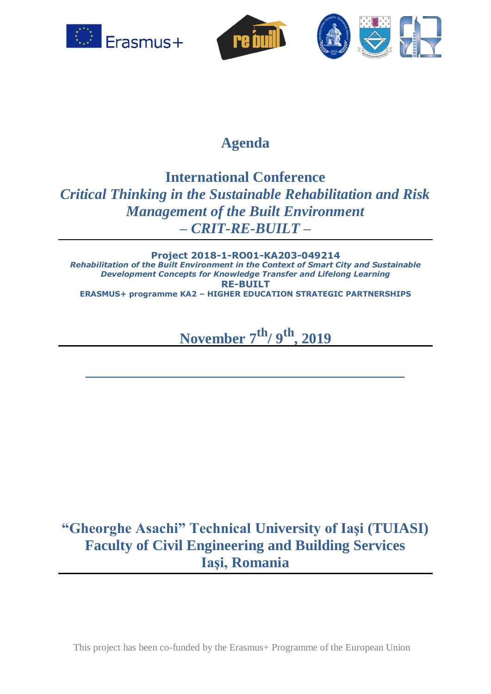





### **Agenda**

### **International Conference**  *Critical Thinking in the Sustainable Rehabilitation and Risk Management of the Built Environment* **–** *CRIT-RE-BUILT –*

**Project 2018-1-RO01-KA203-049214** *Rehabilitation of the Built Environment in the Context of Smart City and Sustainable Development Concepts for Knowledge Transfer and Lifelong Learning* **RE-BUILT ERASMUS+ programme KA2 – HIGHER EDUCATION STRATEGIC PARTNERSHIPS**

# **November 7 th/ 9 th , 2019**

**\_\_\_\_\_\_\_\_\_\_\_\_\_\_\_\_\_\_\_\_\_\_\_\_\_\_\_\_\_\_\_\_\_\_\_\_\_\_\_\_\_\_\_**

## **"Gheorghe Asachi" Technical University of Iaşi (TUIASI) Faculty of Civil Engineering and Building Services Iaşi, Romania**

This project has been co-funded by the Erasmus+ Programme of the European Union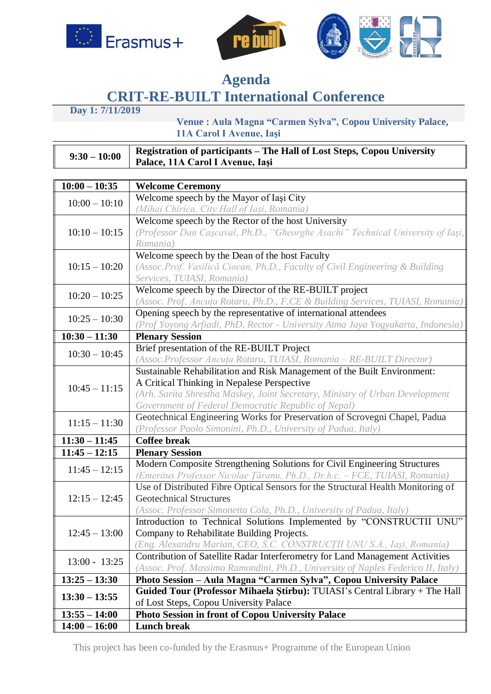





#### **Agenda CRIT-RE-BUILT International Conference**

**Day 1: 7/11/2019** 

 **Venue : Aula Magna "Carmen Sylva", Copou University Palace, 11A Carol I Avenue, Iaşi**

| $9:30 - 10:00$ | Registration of participants - The Hall of Lost Steps, Copou University<br>Palace, 11A Carol I Avenue, Iași |
|----------------|-------------------------------------------------------------------------------------------------------------|

| $10:00 - 10:35$ | <b>Welcome Ceremony</b>                                                          |
|-----------------|----------------------------------------------------------------------------------|
| $10:00 - 10:10$ | Welcome speech by the Mayor of Iași City                                         |
|                 | (Mihai Chirica, City Hall of Iași, Romania)                                      |
| $10:10 - 10:15$ | Welcome speech by the Rector of the host University                              |
|                 | (Professor Dan Caşcaval, Ph.D., "Gheorghe Asachi" Technical University of Iaşi,  |
|                 | Romania)                                                                         |
| $10:15 - 10:20$ | Welcome speech by the Dean of the host Faculty                                   |
|                 | (Assoc.Prof. Vasilică Ciocan, Ph.D., Faculty of Civil Engineering & Building     |
|                 | Services, TUIASI, Romania)                                                       |
| $10:20 - 10:25$ | Welcome speech by the Director of the RE-BUILT project                           |
|                 | (Assoc. Prof. Ancuța Rotaru, Ph.D., F.CE & Building Services, TUIASI, Romania)   |
| $10:25 - 10:30$ | Opening speech by the representative of international attendees                  |
|                 | (Prof Yoyong Arfiadi, PhD, Rector - University Atma Jaya Yogyakarta, Indonesia)  |
| $10:30 - 11:30$ | <b>Plenary Session</b>                                                           |
| $10:30 - 10:45$ | Brief presentation of the RE-BUILT Project                                       |
|                 | (Assoc.Professor Ancuța Rotaru, TUIASI, Romania - RE-BUILT Director)             |
|                 | Sustainable Rehabilitation and Risk Management of the Built Environment:         |
| $10:45 - 11:15$ | A Critical Thinking in Nepalese Perspective                                      |
|                 | (Arh. Sarita Shrestha Maskey, Joint Secretary, Ministry of Urban Development     |
|                 | Government of Federal Democratic Republic of Nepal)                              |
| $11:15 - 11:30$ | Geotechnical Engineering Works for Preservation of Scrovegni Chapel, Padua       |
|                 | (Professor Paolo Simonini, Ph.D., University of Padua, Italy)                    |
| $11:30 - 11:45$ | <b>Coffee break</b>                                                              |
| $11:45 - 12:15$ | <b>Plenary Session</b>                                                           |
| $11:45 - 12:15$ | Modern Composite Strengthening Solutions for Civil Engineering Structures        |
|                 | (Emeritus Professor Nicolae Țăranu, Ph.D., Dr.h.c. - FCE, TUIASI, Romania)       |
|                 | Use of Distributed Fibre Optical Sensors for the Structural Health Monitoring of |
| $12:15 - 12:45$ | <b>Geotechnical Structures</b>                                                   |
|                 | (Assoc. Professor Simonetta Cola, Ph.D., University of Padua, Italy)             |
|                 | Introduction to Technical Solutions Implemented by "CONSTRUCTII UNU"             |
| $12:45 - 13:00$ | Company to Rehabilitate Building Projects.                                       |
|                 | (Eng. Alexandru Marian, CEO, S.C. CONSTRUCȚII UNU S.A., Iași, Romania)           |
| $13:00 - 13:25$ | Contribution of Satellite Radar Interferometry for Land Management Activities    |
|                 | (Assoc. Prof. Massimo Ramondini, Ph.D., University of Naples Federico II, Italy) |
| $13:25 - 13:30$ | Photo Session - Aula Magna "Carmen Sylva", Copou University Palace               |
| $13:30 - 13:55$ | Guided Tour (Professor Mihaela Știrbu): TUIASI's Central Library + The Hall      |
|                 | of Lost Steps, Copou University Palace                                           |
| $13:55 - 14:00$ | Photo Session in front of Copou University Palace                                |
| $14:00 - 16:00$ | <b>Lunch break</b>                                                               |

This project has been co-funded by the Erasmus+ Programme of the European Union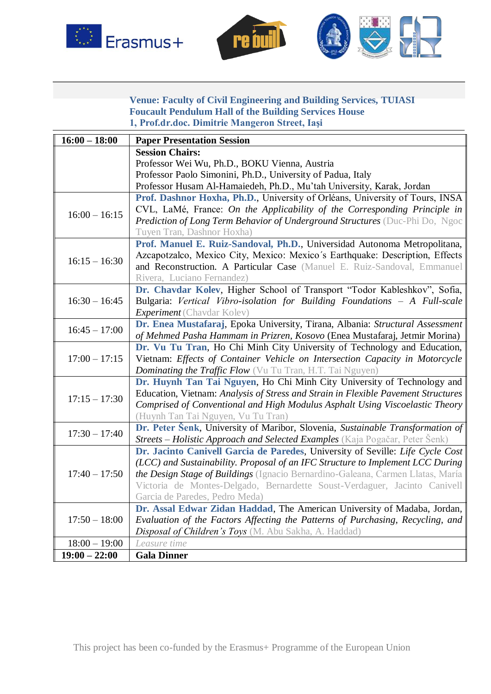





#### **Venue: Faculty of Civil Engineering and Building Services, TUIASI Foucault Pendulum Hall of the Building Services House 1, Prof.dr.doc. Dimitrie Mangeron Street, Iaşi**

| $16:00 - 18:00$ | <b>Paper Presentation Session</b>                                                   |
|-----------------|-------------------------------------------------------------------------------------|
|                 | <b>Session Chairs:</b>                                                              |
|                 | Professor Wei Wu, Ph.D., BOKU Vienna, Austria                                       |
|                 | Professor Paolo Simonini, Ph.D., University of Padua, Italy                         |
|                 | Professor Husam Al-Hamaiedeh, Ph.D., Mu'tah University, Karak, Jordan               |
|                 | Prof. Dashnor Hoxha, Ph.D., University of Orléans, University of Tours, INSA        |
| $16:00 - 16:15$ | CVL, LaMé, France: On the Applicability of the Corresponding Principle in           |
|                 | Prediction of Long Term Behavior of Underground Structures (Duc-Phi Do, Ngoc        |
|                 | Tuyen Tran, Dashnor Hoxha)                                                          |
|                 | Prof. Manuel E. Ruiz-Sandoval, Ph.D., Universidad Autonoma Metropolitana,           |
|                 | Azcapotzalco, Mexico City, Mexico: Mexico's Earthquake: Description, Effects        |
| $16:15 - 16:30$ | and Reconstruction. A Particular Case (Manuel E. Ruiz-Sandoval, Emmanuel            |
|                 | Rivera, Luciano Fernandez)                                                          |
|                 | Dr. Chavdar Kolev, Higher School of Transport "Todor Kableshkov", Sofia,            |
| $16:30 - 16:45$ | Bulgaria: Vertical Vibro-isolation for Building Foundations - A Full-scale          |
|                 | <b>Experiment</b> (Chavdar Kolev)                                                   |
|                 | Dr. Enea Mustafaraj, Epoka University, Tirana, Albania: Structural Assessment       |
| $16:45 - 17:00$ | of Mehmed Pasha Hammam in Prizren, Kosovo (Enea Mustafaraj, Jetmir Morina)          |
|                 | Dr. Vu Tu Tran, Ho Chi Minh City University of Technology and Education,            |
| $17:00 - 17:15$ | Vietnam: Effects of Container Vehicle on Intersection Capacity in Motorcycle        |
|                 | <b>Dominating the Traffic Flow</b> (Vu Tu Tran, H.T. Tai Nguyen)                    |
|                 | Dr. Huynh Tan Tai Nguyen, Ho Chi Minh City University of Technology and             |
|                 | Education, Vietnam: Analysis of Stress and Strain in Flexible Pavement Structures   |
| $17:15 - 17:30$ | Comprised of Conventional and High Modulus Asphalt Using Viscoelastic Theory        |
|                 | (Huynh Tan Tai Nguyen, Vu Tu Tran)                                                  |
|                 | Dr. Peter Šenk, University of Maribor, Slovenia, Sustainable Transformation of      |
| $17:30 - 17:40$ | <b>Streets – Holistic Approach and Selected Examples</b> (Kaja Pogačar, Peter Šenk) |
|                 | Dr. Jacinto Canivell Garcia de Paredes, University of Seville: Life Cycle Cost      |
|                 | (LCC) and Sustainability. Proposal of an IFC Structure to Implement LCC During      |
| $17:40 - 17:50$ | the Design Stage of Buildings (Ignacio Bernardino-Galeana, Carmen Llatas, María     |
|                 | Victoria de Montes-Delgado, Bernardette Soust-Verdaguer, Jacinto Canivell           |
|                 | Garcia de Paredes, Pedro Meda)                                                      |
|                 | Dr. Assal Edwar Zidan Haddad, The American University of Madaba, Jordan,            |
| $17:50 - 18:00$ | Evaluation of the Factors Affecting the Patterns of Purchasing, Recycling, and      |
|                 | Disposal of Children's Toys (M. Abu Sakha, A. Haddad)                               |
| $18:00 - 19:00$ | Leasure time                                                                        |
| $19:00 - 22:00$ | <b>Gala Dinner</b>                                                                  |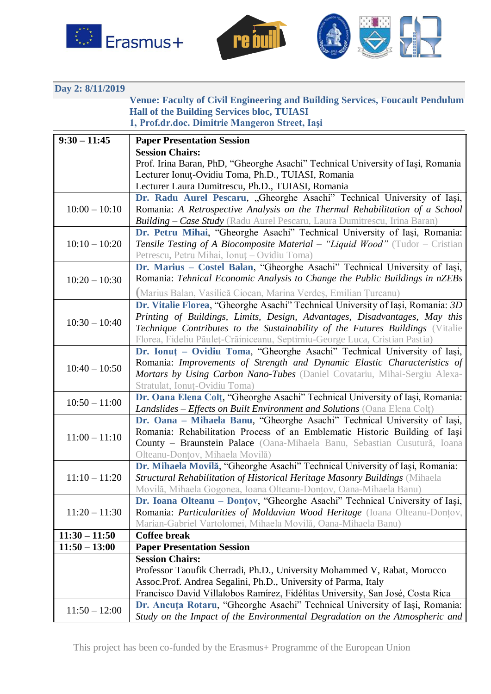





**Day 2: 8/11/2019**

**Venue: Faculty of Civil Engineering and Building Services, Foucault Pendulum Hall of the Building Services bloc, TUIASI 1, Prof.dr.doc. Dimitrie Mangeron Street, Iaşi**

| $9:30 - 11:45$  | <b>Paper Presentation Session</b>                                                                                                                             |
|-----------------|---------------------------------------------------------------------------------------------------------------------------------------------------------------|
|                 | <b>Session Chairs:</b>                                                                                                                                        |
|                 | Prof. Irina Baran, PhD, "Gheorghe Asachi" Technical University of Iași, Romania                                                                               |
|                 | Lecturer Ionuț-Ovidiu Toma, Ph.D., TUIASI, Romania                                                                                                            |
|                 | Lecturer Laura Dumitrescu, Ph.D., TUIASI, Romania                                                                                                             |
|                 | Dr. Radu Aurel Pescaru, "Gheorghe Asachi" Technical University of Iași,                                                                                       |
| $10:00 - 10:10$ | Romania: A Retrospective Analysis on the Thermal Rehabilitation of a School                                                                                   |
|                 | <b>Building – Case Study</b> (Radu Aurel Pescaru, Laura Dumitrescu, Irina Baran)                                                                              |
|                 | Dr. Petru Mihai, "Gheorghe Asachi" Technical University of Iași, Romania:                                                                                     |
| $10:10 - 10:20$ | <b>Tensile Testing of A Biocomposite Material – "Liquid Wood"</b> (Tudor – Cristian                                                                           |
|                 | Petrescu, Petru Mihai, Ionuț – Ovidiu Toma)                                                                                                                   |
|                 | Dr. Marius - Costel Balan, "Gheorghe Asachi" Technical University of Iași,                                                                                    |
| $10:20 - 10:30$ | Romania: Tehnical Economic Analysis to Change the Public Buildings in nZEBs                                                                                   |
|                 | (Marius Balan, Vasilică Ciocan, Marina Verdeș, Emilian Țurcanu)                                                                                               |
|                 | Dr. Vitalie Florea, "Gheorghe Asachi" Technical University of Iași, Romania: 3D                                                                               |
|                 | Printing of Buildings, Limits, Design, Advantages, Disadvantages, May this                                                                                    |
| $10:30 - 10:40$ | Technique Contributes to the Sustainability of the Futures Buildings (Vitalie                                                                                 |
|                 | Florea, Fideliu Păuleț-Crăiniceanu, Septimiu-George Luca, Cristian Pastia)                                                                                    |
|                 | Dr. Ionuț - Ovidiu Toma, "Gheorghe Asachi" Technical University of Iași,                                                                                      |
| $10:40 - 10:50$ | Romania: Improvements of Strength and Dynamic Elastic Characteristics of                                                                                      |
|                 | Mortars by Using Carbon Nano-Tubes (Daniel Covatariu, Mihai-Sergiu Alexa-                                                                                     |
|                 | Stratulat, Ionuț-Ovidiu Toma)                                                                                                                                 |
| $10:50 - 11:00$ | Dr. Oana Elena Colt, "Gheorghe Asachi" Technical University of Iași, Romania:                                                                                 |
|                 | <b>Landslides – Effects on Built Environment and Solutions (Oana Elena Colt)</b>                                                                              |
|                 | Dr. Oana - Mihaela Banu, "Gheorghe Asachi" Technical University of Iași,                                                                                      |
| $11:00 - 11:10$ | Romania: Rehabilitation Process of an Emblematic Historic Building of Iași                                                                                    |
|                 | County – Braunstein Palace (Oana-Mihaela Banu, Sebastian Cusutură, Ioana                                                                                      |
|                 | Olteanu-Donțov, Mihaela Movilă)                                                                                                                               |
|                 | Dr. Mihaela Movilă, "Gheorghe Asachi" Technical University of Iași, Romania:                                                                                  |
| $11:10 - 11:20$ | Structural Rehabilitation of Historical Heritage Masonry Buildings (Mihaela                                                                                   |
|                 | Movilă, Mihaela Gogonea, Ioana Olteanu-Donțov, Oana-Mihaela Banu)                                                                                             |
|                 | Dr. Ioana Olteanu - Donțov, "Gheorghe Asachi" Technical University of Iași,                                                                                   |
| $11:20 - 11:30$ | Romania: Particularities of Moldavian Wood Heritage (Ioana Olteanu-Dontov,                                                                                    |
|                 | Marian-Gabriel Vartolomei, Mihaela Movilă, Oana-Mihaela Banu)                                                                                                 |
| $11:30 - 11:50$ | <b>Coffee break</b>                                                                                                                                           |
| $11:50 - 13:00$ | <b>Paper Presentation Session</b>                                                                                                                             |
|                 | <b>Session Chairs:</b>                                                                                                                                        |
|                 | Professor Taoufik Cherradi, Ph.D., University Mohammed V, Rabat, Morocco<br>Assoc. Prof. Andrea Segalini, Ph.D., University of Parma, Italy                   |
|                 |                                                                                                                                                               |
|                 |                                                                                                                                                               |
| $11:50 - 12:00$ | Study on the Impact of the Environmental Degradation on the Atmospheric and $\parallel$                                                                       |
|                 | Francisco David Villalobos Ramírez, Fidélitas University, San José, Costa Rica<br>Dr. Ancuța Rotaru, "Gheorghe Asachi" Technical University of Iași, Romania: |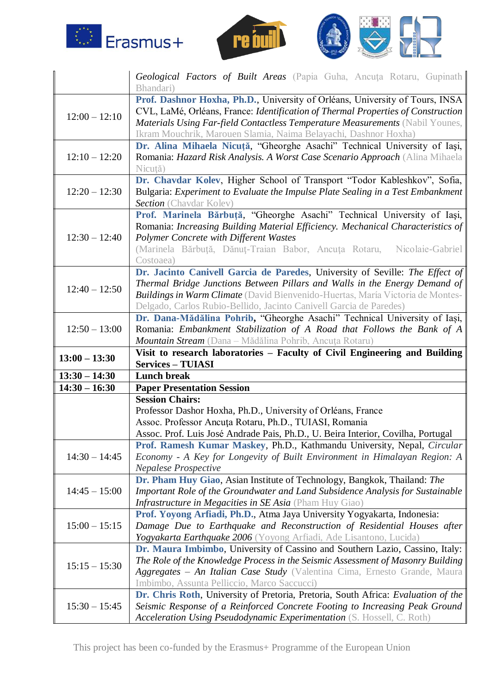





|                 | Geological Factors of Built Areas (Papia Guha, Ancuța Rotaru, Gupinath<br>Bhandari)                                                                        |
|-----------------|------------------------------------------------------------------------------------------------------------------------------------------------------------|
|                 | Prof. Dashnor Hoxha, Ph.D., University of Orléans, University of Tours, INSA                                                                               |
| $12:00 - 12:10$ | CVL, LaMé, Orléans, France: Identification of Thermal Properties of Construction                                                                           |
|                 | Materials Using Far-field Contactless Temperature Measurements (Nabil Younes,                                                                              |
|                 | Ikram Mouchrik, Marouen Slamia, Naima Belayachi, Dashnor Hoxha)                                                                                            |
|                 | Dr. Alina Mihaela Nicuță, "Gheorghe Asachi" Technical University of Iași,                                                                                  |
| $12:10 - 12:20$ | Romania: Hazard Risk Analysis. A Worst Case Scenario Approach (Alina Mihaela                                                                               |
|                 | Nicuță)                                                                                                                                                    |
|                 | Dr. Chavdar Kolev, Higher School of Transport "Todor Kableshkov", Sofia,                                                                                   |
| $12:20 - 12:30$ | Bulgaria: Experiment to Evaluate the Impulse Plate Sealing in a Test Embankment                                                                            |
|                 | <b>Section</b> (Chavdar Kolev)                                                                                                                             |
|                 | Prof. Marinela Bărbuță, "Gheorghe Asachi" Technical University of Iași,<br>Romania: Increasing Building Material Efficiency. Mechanical Characteristics of |
| $12:30 - 12:40$ | <b>Polymer Concrete with Different Wastes</b>                                                                                                              |
|                 | (Marinela Bărbuță, Dănuț-Traian Babor, Ancuța Rotaru, Nicolaie-Gabriel                                                                                     |
|                 | Costoaea)                                                                                                                                                  |
|                 | Dr. Jacinto Canivell Garcia de Paredes, University of Seville: The Effect of                                                                               |
|                 | Thermal Bridge Junctions Between Pillars and Walls in the Energy Demand of                                                                                 |
| $12:40 - 12:50$ | <b>Buildings in Warm Climate</b> (David Bienvenido-Huertas, María Victoria de Montes-                                                                      |
|                 | Delgado, Carlos Rubio-Bellido, Jacinto Canivell Garcia de Paredes)                                                                                         |
|                 | Dr. Dana-Mădălina Pohrib, "Gheorghe Asachi" Technical University of Iași,                                                                                  |
| $12:50 - 13:00$ | Romania: Embankment Stabilization of A Road that Follows the Bank of A                                                                                     |
|                 | Mountain Stream (Dana - Mădălina Pohrib, Ancuța Rotaru)                                                                                                    |
|                 |                                                                                                                                                            |
| $13:00 - 13:30$ | Visit to research laboratories - Faculty of Civil Engineering and Building                                                                                 |
|                 | <b>Services – TUIASI</b>                                                                                                                                   |
| $13:30 - 14:30$ | <b>Lunch break</b>                                                                                                                                         |
| $14:30 - 16:30$ | <b>Paper Presentation Session</b>                                                                                                                          |
|                 | <b>Session Chairs:</b>                                                                                                                                     |
|                 | Professor Dashor Hoxha, Ph.D., University of Orléans, France                                                                                               |
|                 | Assoc. Professor Ancuța Rotaru, Ph.D., TUIASI, Romania                                                                                                     |
|                 | Assoc. Prof. Luis José Andrade Pais, Ph.D., U. Beira Interior, Covilha, Portugal                                                                           |
| $14:30 - 14:45$ | Prof. Ramesh Kumar Maskey, Ph.D., Kathmandu University, Nepal, Circular<br>Economy - A Key for Longevity of Built Environment in Himalayan Region: A       |
|                 | Nepalese Prospective                                                                                                                                       |
|                 | Dr. Pham Huy Giao, Asian Institute of Technology, Bangkok, Thailand: The                                                                                   |
| $14:45 - 15:00$ | Important Role of the Groundwater and Land Subsidence Analysis for Sustainable                                                                             |
|                 | Infrastructure in Megacities in SE Asia (Pham Huy Giao)                                                                                                    |
|                 | Prof. Yoyong Arfiadi, Ph.D., Atma Jaya University Yogyakarta, Indonesia:                                                                                   |
| $15:00 - 15:15$ | Damage Due to Earthquake and Reconstruction of Residential Houses after                                                                                    |
|                 | Yogyakarta Earthquake 2006 (Yoyong Arfiadi, Ade Lisantono, Lucida)                                                                                         |
|                 | Dr. Maura Imbimbo, University of Cassino and Southern Lazio, Cassino, Italy:                                                                               |
| $15:15 - 15:30$ | The Role of the Knowledge Process in the Seismic Assessment of Masonry Building                                                                            |
|                 | Aggregates – An Italian Case Study (Valentina Cima, Ernesto Grande, Maura                                                                                  |
|                 | Imbimbo, Assunta Pelliccio, Marco Saccucci)                                                                                                                |
|                 | Dr. Chris Roth, University of Pretoria, Pretoria, South Africa: Evaluation of the                                                                          |
| $15:30 - 15:45$ | Seismic Response of a Reinforced Concrete Footing to Increasing Peak Ground                                                                                |

This project has been co-funded by the Erasmus+ Programme of the European Union